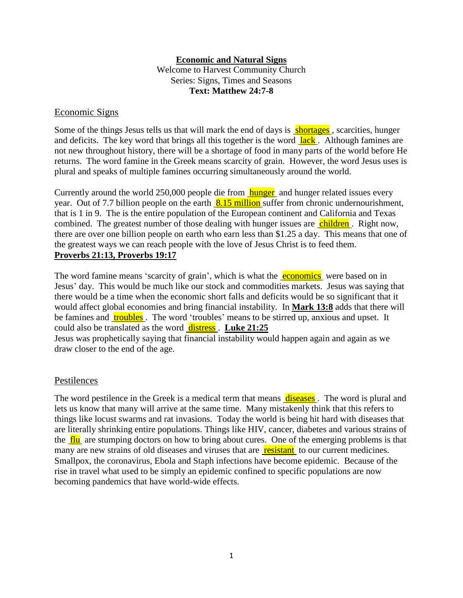## **Economic and Natural Signs**

Welcome to Harvest Community Church Series: Signs, Times and Seasons **Text: Matthew 24:7-8**

### Economic Signs

Some of the things Jesus tells us that will mark the end of days is **shortages**, scarcities, hunger and deficits. The key word that brings all this together is the word  $\frac{lack}{lack}$ . Although famines are not new throughout history, there will be a shortage of food in many parts of the world before He returns. The word famine in the Greek means scarcity of grain. However, the word Jesus uses is plural and speaks of multiple famines occurring simultaneously around the world.

Currently around the world 250,000 people die from **hunger** and hunger related issues every year. Out of 7.7 billion people on the earth  $8.15$  million suffer from chronic undernourishment, that is 1 in 9. The is the entire population of the European continent and California and Texas combined. The greatest number of those dealing with hunger issues are children. Right now, there are over one billion people on earth who earn less than \$1.25 a day. This means that one of the greatest ways we can reach people with the love of Jesus Christ is to feed them. **Proverbs 21:13, Proverbs 19:17**

The word famine means 'scarcity of grain', which is what the **economics** were based on in Jesus' day. This would be much like our stock and commodities markets. Jesus was saying that there would be a time when the economic short falls and deficits would be so significant that it would affect global economies and bring financial instability. In **Mark 13:8** adds that there will be famines and **troubles**. The word 'troubles' means to be stirred up, anxious and upset. It could also be translated as the word distress . **Luke 21:25** Jesus was prophetically saying that financial instability would happen again and again as we

draw closer to the end of the age.

## **Pestilences**

The word pestilence in the Greek is a medical term that means diseases. The word is plural and lets us know that many will arrive at the same time. Many mistakenly think that this refers to things like locust swarms and rat invasions. Today the world is being hit hard with diseases that are literally shrinking entire populations. Things like HIV, cancer, diabetes and various strains of the  $\frac{flu}{dlu}$  are stumping doctors on how to bring about cures. One of the emerging problems is that many are new strains of old diseases and viruses that are resistant to our current medicines. Smallpox, the coronavirus, Ebola and Staph infections have become epidemic. Because of the rise in travel what used to be simply an epidemic confined to specific populations are now becoming pandemics that have world-wide effects.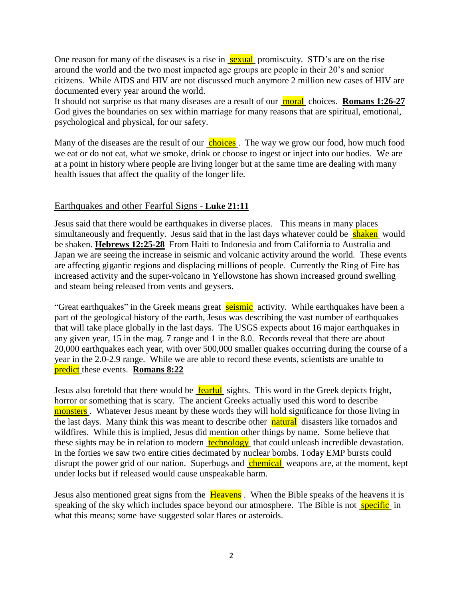One reason for many of the diseases is a rise in sexual promiscuity. STD's are on the rise around the world and the two most impacted age groups are people in their 20's and senior citizens. While AIDS and HIV are not discussed much anymore 2 million new cases of HIV are documented every year around the world.

It should not surprise us that many diseases are a result of our moral choices. **Romans 1:26-27** God gives the boundaries on sex within marriage for many reasons that are spiritual, emotional, psychological and physical, for our safety.

Many of the diseases are the result of our **choices**. The way we grow our food, how much food we eat or do not eat, what we smoke, drink or choose to ingest or inject into our bodies. We are at a point in history where people are living longer but at the same time are dealing with many health issues that affect the quality of the longer life.

# Earthquakes and other Fearful Signs - **Luke 21:11**

Jesus said that there would be earthquakes in diverse places. This means in many places simultaneously and frequently. Jesus said that in the last days whatever could be shaken would be shaken. **Hebrews 12:25-28** From Haiti to Indonesia and from California to Australia and Japan we are seeing the increase in seismic and volcanic activity around the world. These events are affecting gigantic regions and displacing millions of people. Currently the Ring of Fire has increased activity and the super-volcano in Yellowstone has shown increased ground swelling and steam being released from vents and geysers.

"Great earthquakes" in the Greek means great **seismic** activity. While earthquakes have been a part of the geological history of the earth, Jesus was describing the vast number of earthquakes that will take place globally in the last days. The USGS expects about 16 major earthquakes in any given year, 15 in the mag. 7 range and 1 in the 8.0. Records reveal that there are about 20,000 earthquakes each year, with over 500,000 smaller quakes occurring during the course of a year in the 2.0-2.9 range. While we are able to record these events, scientists are unable to predict these events. **Romans 8:22** 

Jesus also foretold that there would be **fearful** sights. This word in the Greek depicts fright, horror or something that is scary. The ancient Greeks actually used this word to describe monsters. Whatever Jesus meant by these words they will hold significance for those living in the last days. Many think this was meant to describe other natural disasters like tornados and wildfires. While this is implied, Jesus did mention other things by name. Some believe that these sights may be in relation to modern technology that could unleash incredible devastation. In the forties we saw two entire cities decimated by nuclear bombs. Today EMP bursts could disrupt the power grid of our nation. Superbugs and chemical weapons are, at the moment, kept under locks but if released would cause unspeakable harm.

Jesus also mentioned great signs from the Heavens. When the Bible speaks of the heavens it is speaking of the sky which includes space beyond our atmosphere. The Bible is not specific in what this means; some have suggested solar flares or asteroids.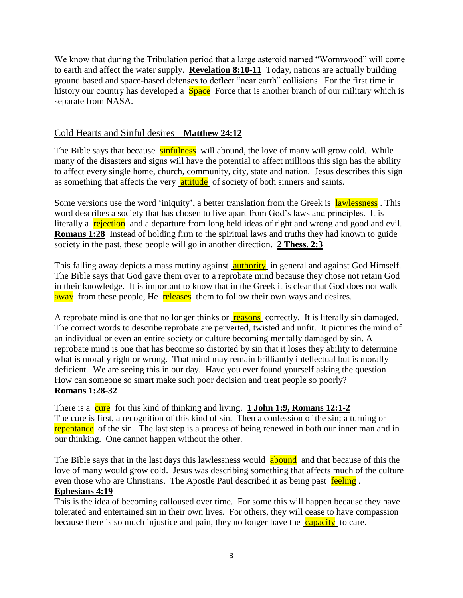We know that during the Tribulation period that a large asteroid named "Wormwood" will come to earth and affect the water supply. **Revelation 8:10-11** Today, nations are actually building ground based and space-based defenses to deflect "near earth" collisions. For the first time in history our country has developed a **Space** Force that is another branch of our military which is separate from NASA.

# Cold Hearts and Sinful desires – **Matthew 24:12**

The Bible says that because sinfulness will abound, the love of many will grow cold. While many of the disasters and signs will have the potential to affect millions this sign has the ability to affect every single home, church, community, city, state and nation. Jesus describes this sign as something that affects the very **attitude** of society of both sinners and saints.

Some versions use the word 'iniquity', a better translation from the Greek is lawlessness. This word describes a society that has chosen to live apart from God's laws and principles. It is literally a rejection and a departure from long held ideas of right and wrong and good and evil. **Romans 1:28** Instead of holding firm to the spiritual laws and truths they had known to guide society in the past, these people will go in another direction. **2 Thess. 2:3**

This falling away depicts a mass mutiny against **<u>authority</u>** in general and against God Himself. The Bible says that God gave them over to a reprobate mind because they chose not retain God in their knowledge. It is important to know that in the Greek it is clear that God does not walk away from these people, He **releases** them to follow their own ways and desires.

A reprobate mind is one that no longer thinks or **reasons** correctly. It is literally sin damaged. The correct words to describe reprobate are perverted, twisted and unfit. It pictures the mind of an individual or even an entire society or culture becoming mentally damaged by sin. A reprobate mind is one that has become so distorted by sin that it loses they ability to determine what is morally right or wrong. That mind may remain brilliantly intellectual but is morally deficient. We are seeing this in our day. Have you ever found yourself asking the question – How can someone so smart make such poor decision and treat people so poorly? **Romans 1:28-32**

There is a cure for this kind of thinking and living. **1 John 1:9, Romans 12:1-2** The cure is first, a recognition of this kind of sin. Then a confession of the sin; a turning or repentance of the sin. The last step is a process of being renewed in both our inner man and in our thinking. One cannot happen without the other.

The Bible says that in the last days this lawlessness would abound and that because of this the love of many would grow cold. Jesus was describing something that affects much of the culture even those who are Christians. The Apostle Paul described it as being past feeling. **Ephesians 4:19**

This is the idea of becoming calloused over time. For some this will happen because they have tolerated and entertained sin in their own lives. For others, they will cease to have compassion because there is so much injustice and pain, they no longer have the capacity to care.